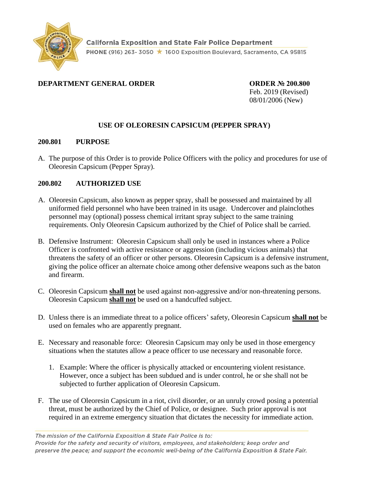

## **DEPARTMENT GENERAL ORDER ORDER № 200.800**

Feb. 2019 (Revised) 08/01/2006 (New)

# **USE OF OLEORESIN CAPSICUM (PEPPER SPRAY)**

#### **200.801 PURPOSE**

A. The purpose of this Order is to provide Police Officers with the policy and procedures for use of Oleoresin Capsicum (Pepper Spray).

### **200.802 AUTHORIZED USE**

- A. Oleoresin Capsicum, also known as pepper spray, shall be possessed and maintained by all uniformed field personnel who have been trained in its usage. Undercover and plainclothes personnel may (optional) possess chemical irritant spray subject to the same training requirements. Only Oleoresin Capsicum authorized by the Chief of Police shall be carried.
- B. Defensive Instrument: Oleoresin Capsicum shall only be used in instances where a Police Officer is confronted with active resistance or aggression (including vicious animals) that threatens the safety of an officer or other persons. Oleoresin Capsicum is a defensive instrument, giving the police officer an alternate choice among other defensive weapons such as the baton and firearm.
- C. Oleoresin Capsicum **shall not** be used against non-aggressive and/or non-threatening persons. Oleoresin Capsicum **shall not** be used on a handcuffed subject.
- D. Unless there is an immediate threat to a police officers' safety, Oleoresin Capsicum **shall not** be used on females who are apparently pregnant.
- E. Necessary and reasonable force: Oleoresin Capsicum may only be used in those emergency situations when the statutes allow a peace officer to use necessary and reasonable force.
	- 1. Example: Where the officer is physically attacked or encountering violent resistance. However, once a subject has been subdued and is under control, he or she shall not be subjected to further application of Oleoresin Capsicum.
- F. The use of Oleoresin Capsicum in a riot, civil disorder, or an unruly crowd posing a potential threat, must be authorized by the Chief of Police, or designee. Such prior approval is not required in an extreme emergency situation that dictates the necessity for immediate action.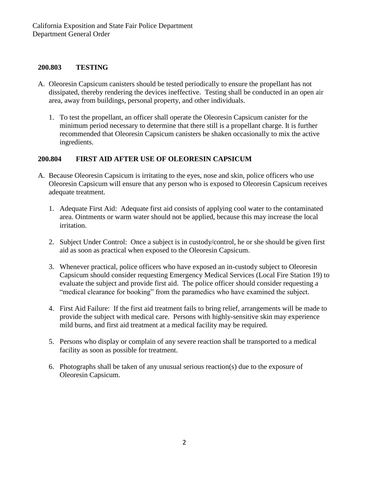#### **200.803 TESTING**

- A. Oleoresin Capsicum canisters should be tested periodically to ensure the propellant has not dissipated, thereby rendering the devices ineffective. Testing shall be conducted in an open air area, away from buildings, personal property, and other individuals.
	- 1. To test the propellant, an officer shall operate the Oleoresin Capsicum canister for the minimum period necessary to determine that there still is a propellant charge. It is further recommended that Oleoresin Capsicum canisters be shaken occasionally to mix the active ingredients.

### **200.804 FIRST AID AFTER USE OF OLEORESIN CAPSICUM**

- A. Because Oleoresin Capsicum is irritating to the eyes, nose and skin, police officers who use Oleoresin Capsicum will ensure that any person who is exposed to Oleoresin Capsicum receives adequate treatment.
	- 1. Adequate First Aid: Adequate first aid consists of applying cool water to the contaminated area. Ointments or warm water should not be applied, because this may increase the local irritation.
	- 2. Subject Under Control: Once a subject is in custody/control, he or she should be given first aid as soon as practical when exposed to the Oleoresin Capsicum.
	- 3. Whenever practical, police officers who have exposed an in-custody subject to Oleoresin Capsicum should consider requesting Emergency Medical Services (Local Fire Station 19) to evaluate the subject and provide first aid. The police officer should consider requesting a "medical clearance for booking" from the paramedics who have examined the subject.
	- 4. First Aid Failure: If the first aid treatment fails to bring relief, arrangements will be made to provide the subject with medical care. Persons with highly-sensitive skin may experience mild burns, and first aid treatment at a medical facility may be required.
	- 5. Persons who display or complain of any severe reaction shall be transported to a medical facility as soon as possible for treatment.
	- 6. Photographs shall be taken of any unusual serious reaction(s) due to the exposure of Oleoresin Capsicum.